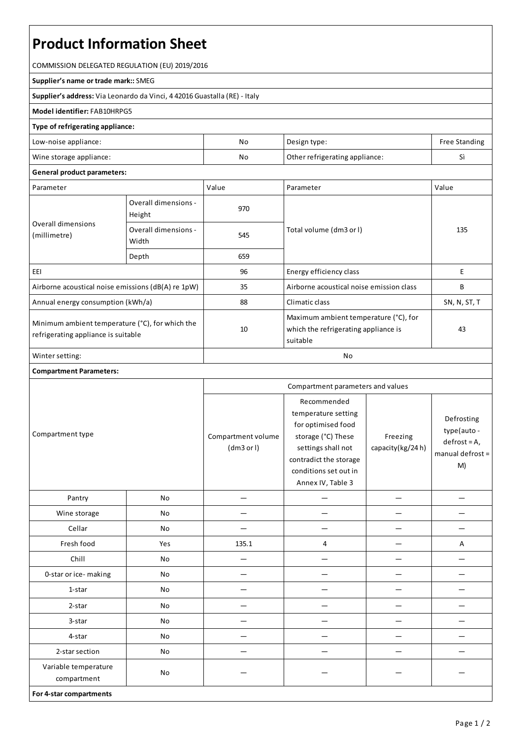# **Product Information Sheet**

COMMISSION DELEGATED REGULATION (EU) 2019/2016

#### **Supplier's name or trade mark::**SMEG

**Supplier's address:** ViaLeonardo da Vinci, 4 42016 Guastalla(RE) - Italy

### **Model identifier:**FAB10HRPG5

#### **Type of refrigerating appliance:**

| Low-noise appliance:    | No | Design type:                   | <b>Free Standing</b> |
|-------------------------|----|--------------------------------|----------------------|
| Wine storage appliance: | No | Other refrigerating appliance: |                      |

## **General product parameters:**

| Parameter                                                                              |                                | Value | Parameter                                                                                 | Value        |
|----------------------------------------------------------------------------------------|--------------------------------|-------|-------------------------------------------------------------------------------------------|--------------|
| Overall dimensions<br>(millimetre)                                                     | Overall dimensions -<br>Height | 970   |                                                                                           | 135          |
|                                                                                        | Overall dimensions -<br>Width  | 545   | Total volume (dm3 or I)                                                                   |              |
|                                                                                        | Depth                          | 659   |                                                                                           |              |
| EEI                                                                                    |                                | 96    | Energy efficiency class                                                                   | E            |
| Airborne acoustical noise emissions (dB(A) re 1pW)                                     |                                | 35    | Airborne acoustical noise emission class                                                  | B            |
| Annual energy consumption (kWh/a)                                                      |                                | 88    | Climatic class                                                                            | SN, N, ST, T |
| Minimum ambient temperature (°C), for which the<br>refrigerating appliance is suitable |                                | 10    | Maximum ambient temperature (°C), for<br>which the refrigerating appliance is<br>suitable | 43           |
| Winter setting:                                                                        |                                | No    |                                                                                           |              |

## **Compartment Parameters:**

| Compartment type                    |     | Compartment parameters and values |                                                                                                                                                                              |                              |                                                                       |
|-------------------------------------|-----|-----------------------------------|------------------------------------------------------------------------------------------------------------------------------------------------------------------------------|------------------------------|-----------------------------------------------------------------------|
|                                     |     | Compartment volume<br>(dm3 or l)  | Recommended<br>temperature setting<br>for optimised food<br>storage (°C) These<br>settings shall not<br>contradict the storage<br>conditions set out in<br>Annex IV, Table 3 | Freezing<br>capacity(kg/24h) | Defrosting<br>type(auto -<br>$defrost = A,$<br>manual defrost =<br>M) |
| Pantry                              | No  |                                   |                                                                                                                                                                              |                              |                                                                       |
| Wine storage                        | No  |                                   |                                                                                                                                                                              |                              |                                                                       |
| Cellar                              | No  |                                   |                                                                                                                                                                              |                              |                                                                       |
| Fresh food                          | Yes | 135.1                             | 4                                                                                                                                                                            |                              | A                                                                     |
| Chill                               | No  |                                   |                                                                                                                                                                              |                              |                                                                       |
| 0-star or ice-making                | No  |                                   |                                                                                                                                                                              |                              |                                                                       |
| 1-star                              | No  |                                   |                                                                                                                                                                              |                              |                                                                       |
| 2-star                              | No  |                                   |                                                                                                                                                                              |                              |                                                                       |
| 3-star                              | No  |                                   |                                                                                                                                                                              |                              |                                                                       |
| 4-star                              | No  |                                   |                                                                                                                                                                              |                              |                                                                       |
| 2-star section                      | No  |                                   |                                                                                                                                                                              |                              |                                                                       |
| Variable temperature<br>compartment | No  |                                   |                                                                                                                                                                              |                              |                                                                       |
| For 4-star compartments             |     |                                   |                                                                                                                                                                              |                              |                                                                       |